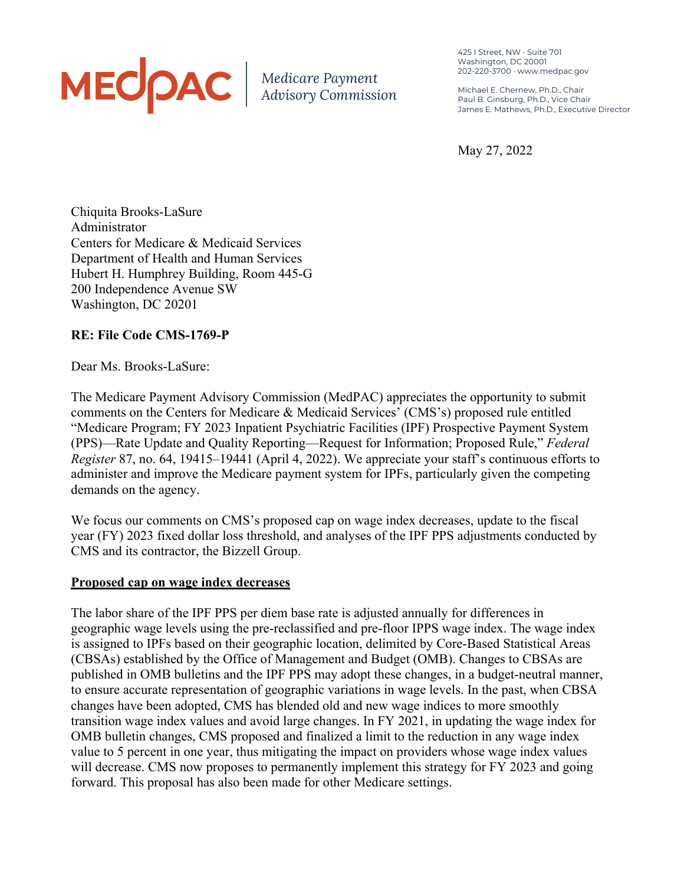# MEODAC | Medicare Payment

425 I Street, NW • Suite 701 Washington, DC 20001 202-220-3700 • www.medpac.gov

Michael E. Chernew, Ph.D., Chair Paul B. Ginsburg, Ph.D., Vice Chair James E. Mathews, Ph.D., Executive Director

May 27, 2022

Chiquita Brooks-LaSure Administrator Centers for Medicare & Medicaid Services Department of Health and Human Services Hubert H. Humphrey Building, Room 445-G 200 Independence Avenue SW Washington, DC 20201

## **RE: File Code CMS-1769-P**

Dear Ms. Brooks-LaSure:

The Medicare Payment Advisory Commission (MedPAC) appreciates the opportunity to submit comments on the Centers for Medicare & Medicaid Services' (CMS's) proposed rule entitled "Medicare Program; FY 2023 Inpatient Psychiatric Facilities (IPF) Prospective Payment System (PPS)—Rate Update and Quality Reporting—Request for Information; Proposed Rule," *Federal Register* 87, no. 64, 19415–19441 (April 4, 2022). We appreciate your staff's continuous efforts to administer and improve the Medicare payment system for IPFs, particularly given the competing demands on the agency.

We focus our comments on CMS's proposed cap on wage index decreases, update to the fiscal year (FY) 2023 fixed dollar loss threshold, and analyses of the IPF PPS adjustments conducted by CMS and its contractor, the Bizzell Group.

## **Proposed cap on wage index decreases**

The labor share of the IPF PPS per diem base rate is adjusted annually for differences in geographic wage levels using the pre-reclassified and pre-floor IPPS wage index. The wage index is assigned to IPFs based on their geographic location, delimited by Core-Based Statistical Areas (CBSAs) established by the Office of Management and Budget (OMB). Changes to CBSAs are published in OMB bulletins and the IPF PPS may adopt these changes, in a budget-neutral manner, to ensure accurate representation of geographic variations in wage levels. In the past, when CBSA changes have been adopted, CMS has blended old and new wage indices to more smoothly transition wage index values and avoid large changes. In FY 2021, in updating the wage index for OMB bulletin changes, CMS proposed and finalized a limit to the reduction in any wage index value to 5 percent in one year, thus mitigating the impact on providers whose wage index values will decrease. CMS now proposes to permanently implement this strategy for FY 2023 and going forward. This proposal has also been made for other Medicare settings.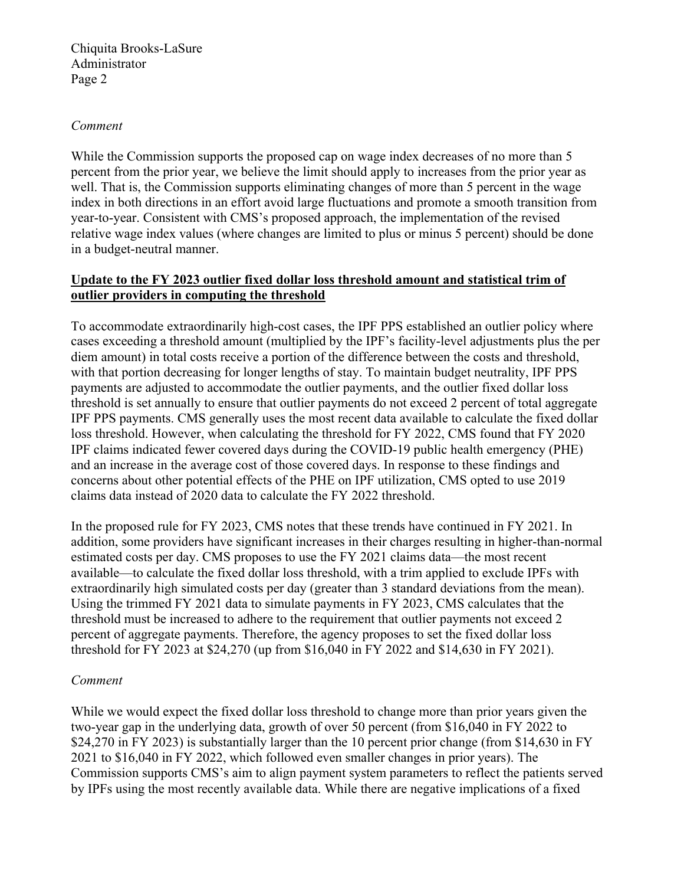#### *Comment*

While the Commission supports the proposed cap on wage index decreases of no more than 5 percent from the prior year, we believe the limit should apply to increases from the prior year as well. That is, the Commission supports eliminating changes of more than 5 percent in the wage index in both directions in an effort avoid large fluctuations and promote a smooth transition from year-to-year. Consistent with CMS's proposed approach, the implementation of the revised relative wage index values (where changes are limited to plus or minus 5 percent) should be done in a budget-neutral manner.

## **Update to the FY 2023 outlier fixed dollar loss threshold amount and statistical trim of outlier providers in computing the threshold**

To accommodate extraordinarily high-cost cases, the IPF PPS established an outlier policy where cases exceeding a threshold amount (multiplied by the IPF's facility-level adjustments plus the per diem amount) in total costs receive a portion of the difference between the costs and threshold, with that portion decreasing for longer lengths of stay. To maintain budget neutrality, IPF PPS payments are adjusted to accommodate the outlier payments, and the outlier fixed dollar loss threshold is set annually to ensure that outlier payments do not exceed 2 percent of total aggregate IPF PPS payments. CMS generally uses the most recent data available to calculate the fixed dollar loss threshold. However, when calculating the threshold for FY 2022, CMS found that FY 2020 IPF claims indicated fewer covered days during the COVID-19 public health emergency (PHE) and an increase in the average cost of those covered days. In response to these findings and concerns about other potential effects of the PHE on IPF utilization, CMS opted to use 2019 claims data instead of 2020 data to calculate the FY 2022 threshold.

In the proposed rule for FY 2023, CMS notes that these trends have continued in FY 2021. In addition, some providers have significant increases in their charges resulting in higher-than-normal estimated costs per day. CMS proposes to use the FY 2021 claims data—the most recent available—to calculate the fixed dollar loss threshold, with a trim applied to exclude IPFs with extraordinarily high simulated costs per day (greater than 3 standard deviations from the mean). Using the trimmed FY 2021 data to simulate payments in FY 2023, CMS calculates that the threshold must be increased to adhere to the requirement that outlier payments not exceed 2 percent of aggregate payments. Therefore, the agency proposes to set the fixed dollar loss threshold for FY 2023 at \$24,270 (up from \$16,040 in FY 2022 and \$14,630 in FY 2021).

## *Comment*

While we would expect the fixed dollar loss threshold to change more than prior years given the two-year gap in the underlying data, growth of over 50 percent (from \$16,040 in FY 2022 to \$24,270 in FY 2023) is substantially larger than the 10 percent prior change (from \$14,630 in FY 2021 to \$16,040 in FY 2022, which followed even smaller changes in prior years). The Commission supports CMS's aim to align payment system parameters to reflect the patients served by IPFs using the most recently available data. While there are negative implications of a fixed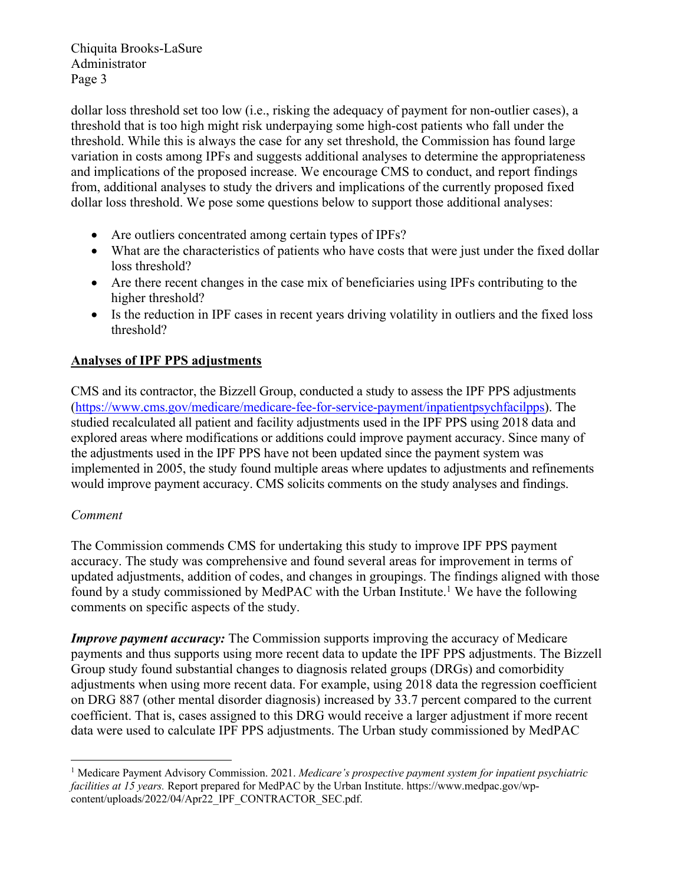dollar loss threshold set too low (i.e., risking the adequacy of payment for non-outlier cases), a threshold that is too high might risk underpaying some high-cost patients who fall under the threshold. While this is always the case for any set threshold, the Commission has found large variation in costs among IPFs and suggests additional analyses to determine the appropriateness and implications of the proposed increase. We encourage CMS to conduct, and report findings from, additional analyses to study the drivers and implications of the currently proposed fixed dollar loss threshold. We pose some questions below to support those additional analyses:

- Are outliers concentrated among certain types of IPFs?
- What are the characteristics of patients who have costs that were just under the fixed dollar loss threshold?
- Are there recent changes in the case mix of beneficiaries using IPFs contributing to the higher threshold?
- Is the reduction in IPF cases in recent years driving volatility in outliers and the fixed loss threshold?

## **Analyses of IPF PPS adjustments**

CMS and its contractor, the Bizzell Group, conducted a study to assess the IPF PPS adjustments (https://www.cms.gov/medicare/medicare-fee-for-service-payment/inpatientpsychfacilpps). The studied recalculated all patient and facility adjustments used in the IPF PPS using 2018 data and explored areas where modifications or additions could improve payment accuracy. Since many of the adjustments used in the IPF PPS have not been updated since the payment system was implemented in 2005, the study found multiple areas where updates to adjustments and refinements would improve payment accuracy. CMS solicits comments on the study analyses and findings.

## *Comment*

The Commission commends CMS for undertaking this study to improve IPF PPS payment accuracy. The study was comprehensive and found several areas for improvement in terms of updated adjustments, addition of codes, and changes in groupings. The findings aligned with those found by a study commissioned by MedPAC with the Urban Institute.<sup>1</sup> We have the following comments on specific aspects of the study.

*Improve payment accuracy:* The Commission supports improving the accuracy of Medicare payments and thus supports using more recent data to update the IPF PPS adjustments. The Bizzell Group study found substantial changes to diagnosis related groups (DRGs) and comorbidity adjustments when using more recent data. For example, using 2018 data the regression coefficient on DRG 887 (other mental disorder diagnosis) increased by 33.7 percent compared to the current coefficient. That is, cases assigned to this DRG would receive a larger adjustment if more recent data were used to calculate IPF PPS adjustments. The Urban study commissioned by MedPAC

<sup>1</sup> Medicare Payment Advisory Commission. 2021. *Medicare's prospective payment system for inpatient psychiatric facilities at 15 years.* Report prepared for MedPAC by the Urban Institute. https://www.medpac.gov/wpcontent/uploads/2022/04/Apr22\_IPF\_CONTRACTOR\_SEC.pdf.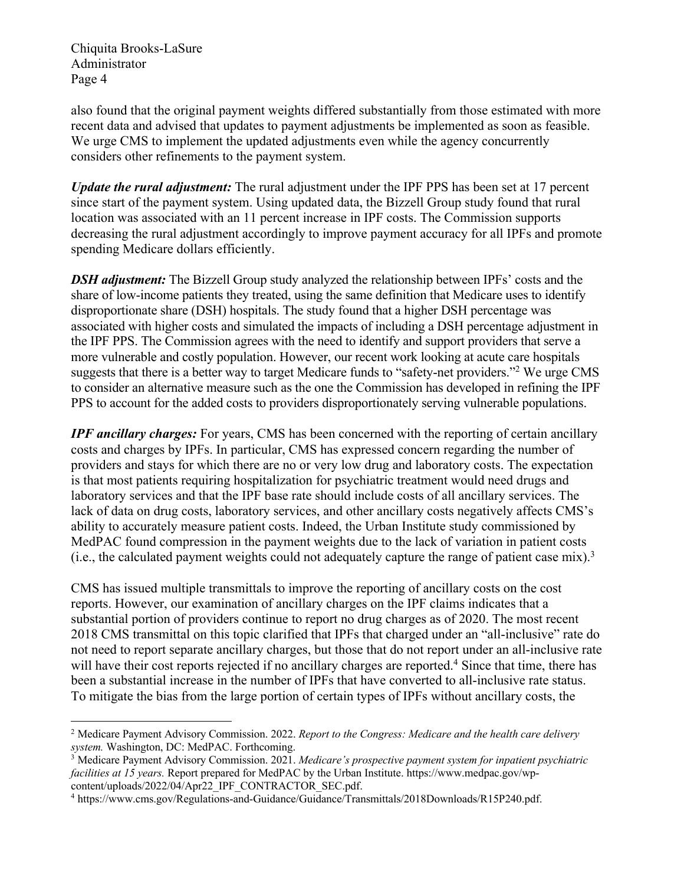also found that the original payment weights differed substantially from those estimated with more recent data and advised that updates to payment adjustments be implemented as soon as feasible. We urge CMS to implement the updated adjustments even while the agency concurrently considers other refinements to the payment system.

*Update the rural adjustment:* The rural adjustment under the IPF PPS has been set at 17 percent since start of the payment system. Using updated data, the Bizzell Group study found that rural location was associated with an 11 percent increase in IPF costs. The Commission supports decreasing the rural adjustment accordingly to improve payment accuracy for all IPFs and promote spending Medicare dollars efficiently.

*DSH adjustment:* The Bizzell Group study analyzed the relationship between IPFs' costs and the share of low-income patients they treated, using the same definition that Medicare uses to identify disproportionate share (DSH) hospitals. The study found that a higher DSH percentage was associated with higher costs and simulated the impacts of including a DSH percentage adjustment in the IPF PPS. The Commission agrees with the need to identify and support providers that serve a more vulnerable and costly population. However, our recent work looking at acute care hospitals suggests that there is a better way to target Medicare funds to "safety-net providers."<sup>2</sup> We urge CMS to consider an alternative measure such as the one the Commission has developed in refining the IPF PPS to account for the added costs to providers disproportionately serving vulnerable populations.

*IPF ancillary charges:* For years, CMS has been concerned with the reporting of certain ancillary costs and charges by IPFs. In particular, CMS has expressed concern regarding the number of providers and stays for which there are no or very low drug and laboratory costs. The expectation is that most patients requiring hospitalization for psychiatric treatment would need drugs and laboratory services and that the IPF base rate should include costs of all ancillary services. The lack of data on drug costs, laboratory services, and other ancillary costs negatively affects CMS's ability to accurately measure patient costs. Indeed, the Urban Institute study commissioned by MedPAC found compression in the payment weights due to the lack of variation in patient costs (i.e., the calculated payment weights could not adequately capture the range of patient case mix). 3

CMS has issued multiple transmittals to improve the reporting of ancillary costs on the cost reports. However, our examination of ancillary charges on the IPF claims indicates that a substantial portion of providers continue to report no drug charges as of 2020. The most recent 2018 CMS transmittal on this topic clarified that IPFs that charged under an "all-inclusive" rate do not need to report separate ancillary charges, but those that do not report under an all-inclusive rate will have their cost reports rejected if no ancillary charges are reported.<sup>4</sup> Since that time, there has been a substantial increase in the number of IPFs that have converted to all-inclusive rate status. To mitigate the bias from the large portion of certain types of IPFs without ancillary costs, the

<sup>2</sup> Medicare Payment Advisory Commission. 2022. *Report to the Congress: Medicare and the health care delivery system.* Washington, DC: MedPAC. Forthcoming.

<sup>3</sup> Medicare Payment Advisory Commission. 2021. *Medicare's prospective payment system for inpatient psychiatric facilities at 15 years.* Report prepared for MedPAC by the Urban Institute. https://www.medpac.gov/wpcontent/uploads/2022/04/Apr22\_IPF\_CONTRACTOR\_SEC.pdf.

<sup>4</sup> https://www.cms.gov/Regulations-and-Guidance/Guidance/Transmittals/2018Downloads/R15P240.pdf.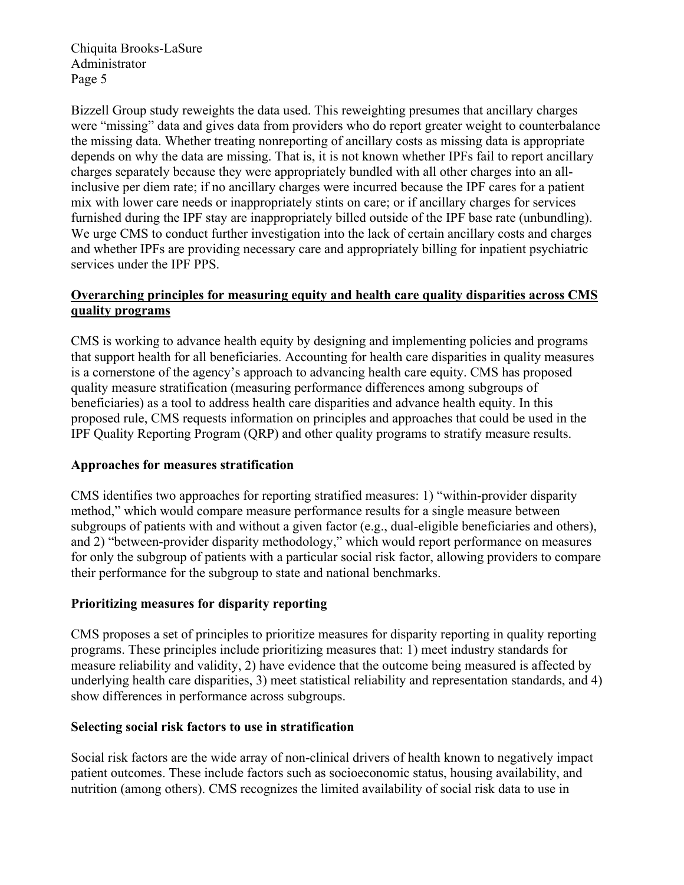Bizzell Group study reweights the data used. This reweighting presumes that ancillary charges were "missing" data and gives data from providers who do report greater weight to counterbalance the missing data. Whether treating nonreporting of ancillary costs as missing data is appropriate depends on why the data are missing. That is, it is not known whether IPFs fail to report ancillary charges separately because they were appropriately bundled with all other charges into an allinclusive per diem rate; if no ancillary charges were incurred because the IPF cares for a patient mix with lower care needs or inappropriately stints on care; or if ancillary charges for services furnished during the IPF stay are inappropriately billed outside of the IPF base rate (unbundling). We urge CMS to conduct further investigation into the lack of certain ancillary costs and charges and whether IPFs are providing necessary care and appropriately billing for inpatient psychiatric services under the IPF PPS.

## **Overarching principles for measuring equity and health care quality disparities across CMS quality programs**

CMS is working to advance health equity by designing and implementing policies and programs that support health for all beneficiaries. Accounting for health care disparities in quality measures is a cornerstone of the agency's approach to advancing health care equity. CMS has proposed quality measure stratification (measuring performance differences among subgroups of beneficiaries) as a tool to address health care disparities and advance health equity. In this proposed rule, CMS requests information on principles and approaches that could be used in the IPF Quality Reporting Program (QRP) and other quality programs to stratify measure results.

## **Approaches for measures stratification**

CMS identifies two approaches for reporting stratified measures: 1) "within-provider disparity method," which would compare measure performance results for a single measure between subgroups of patients with and without a given factor (e.g., dual-eligible beneficiaries and others), and 2) "between-provider disparity methodology," which would report performance on measures for only the subgroup of patients with a particular social risk factor, allowing providers to compare their performance for the subgroup to state and national benchmarks.

## **Prioritizing measures for disparity reporting**

CMS proposes a set of principles to prioritize measures for disparity reporting in quality reporting programs. These principles include prioritizing measures that: 1) meet industry standards for measure reliability and validity, 2) have evidence that the outcome being measured is affected by underlying health care disparities, 3) meet statistical reliability and representation standards, and 4) show differences in performance across subgroups.

## **Selecting social risk factors to use in stratification**

Social risk factors are the wide array of non-clinical drivers of health known to negatively impact patient outcomes. These include factors such as socioeconomic status, housing availability, and nutrition (among others). CMS recognizes the limited availability of social risk data to use in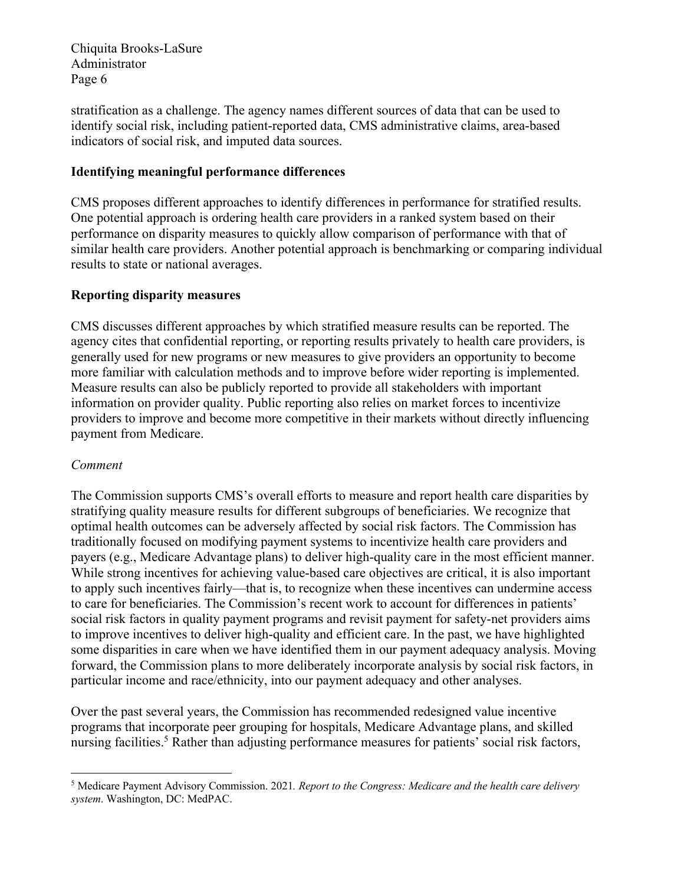stratification as a challenge. The agency names different sources of data that can be used to identify social risk, including patient-reported data, CMS administrative claims, area-based indicators of social risk, and imputed data sources.

## **Identifying meaningful performance differences**

CMS proposes different approaches to identify differences in performance for stratified results. One potential approach is ordering health care providers in a ranked system based on their performance on disparity measures to quickly allow comparison of performance with that of similar health care providers. Another potential approach is benchmarking or comparing individual results to state or national averages.

## **Reporting disparity measures**

CMS discusses different approaches by which stratified measure results can be reported. The agency cites that confidential reporting, or reporting results privately to health care providers, is generally used for new programs or new measures to give providers an opportunity to become more familiar with calculation methods and to improve before wider reporting is implemented. Measure results can also be publicly reported to provide all stakeholders with important information on provider quality. Public reporting also relies on market forces to incentivize providers to improve and become more competitive in their markets without directly influencing payment from Medicare.

## *Comment*

The Commission supports CMS's overall efforts to measure and report health care disparities by stratifying quality measure results for different subgroups of beneficiaries. We recognize that optimal health outcomes can be adversely affected by social risk factors. The Commission has traditionally focused on modifying payment systems to incentivize health care providers and payers (e.g., Medicare Advantage plans) to deliver high-quality care in the most efficient manner. While strong incentives for achieving value-based care objectives are critical, it is also important to apply such incentives fairly—that is, to recognize when these incentives can undermine access to care for beneficiaries. The Commission's recent work to account for differences in patients' social risk factors in quality payment programs and revisit payment for safety-net providers aims to improve incentives to deliver high-quality and efficient care. In the past, we have highlighted some disparities in care when we have identified them in our payment adequacy analysis. Moving forward, the Commission plans to more deliberately incorporate analysis by social risk factors, in particular income and race/ethnicity, into our payment adequacy and other analyses.

Over the past several years, the Commission has recommended redesigned value incentive programs that incorporate peer grouping for hospitals, Medicare Advantage plans, and skilled nursing facilities.<sup>5</sup> Rather than adjusting performance measures for patients' social risk factors,

<sup>5</sup> Medicare Payment Advisory Commission. 2021*. Report to the Congress: Medicare and the health care delivery system*. Washington, DC: MedPAC.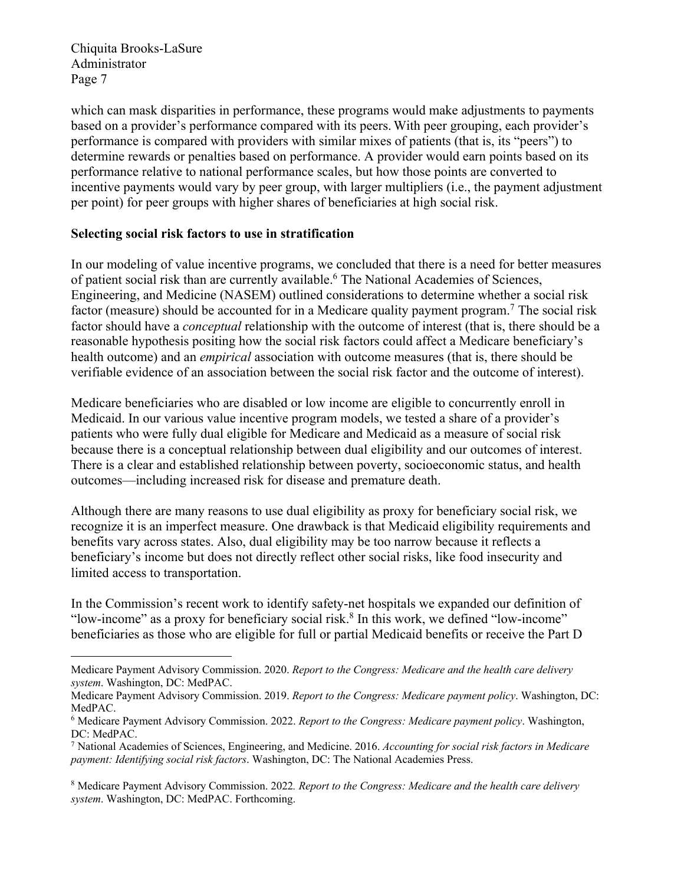which can mask disparities in performance, these programs would make adjustments to payments based on a provider's performance compared with its peers. With peer grouping, each provider's performance is compared with providers with similar mixes of patients (that is, its "peers") to determine rewards or penalties based on performance. A provider would earn points based on its performance relative to national performance scales, but how those points are converted to incentive payments would vary by peer group, with larger multipliers (i.e., the payment adjustment per point) for peer groups with higher shares of beneficiaries at high social risk.

## **Selecting social risk factors to use in stratification**

In our modeling of value incentive programs, we concluded that there is a need for better measures of patient social risk than are currently available.6 The National Academies of Sciences, Engineering, and Medicine (NASEM) outlined considerations to determine whether a social risk factor (measure) should be accounted for in a Medicare quality payment program.<sup>7</sup> The social risk factor should have a *conceptual* relationship with the outcome of interest (that is, there should be a reasonable hypothesis positing how the social risk factors could affect a Medicare beneficiary's health outcome) and an *empirical* association with outcome measures (that is, there should be verifiable evidence of an association between the social risk factor and the outcome of interest).

Medicare beneficiaries who are disabled or low income are eligible to concurrently enroll in Medicaid. In our various value incentive program models, we tested a share of a provider's patients who were fully dual eligible for Medicare and Medicaid as a measure of social risk because there is a conceptual relationship between dual eligibility and our outcomes of interest. There is a clear and established relationship between poverty, socioeconomic status, and health outcomes—including increased risk for disease and premature death.

Although there are many reasons to use dual eligibility as proxy for beneficiary social risk, we recognize it is an imperfect measure. One drawback is that Medicaid eligibility requirements and benefits vary across states. Also, dual eligibility may be too narrow because it reflects a beneficiary's income but does not directly reflect other social risks, like food insecurity and limited access to transportation.

In the Commission's recent work to identify safety-net hospitals we expanded our definition of "low-income" as a proxy for beneficiary social risk.<sup>8</sup> In this work, we defined "low-income" beneficiaries as those who are eligible for full or partial Medicaid benefits or receive the Part D

Medicare Payment Advisory Commission. 2020. *Report to the Congress: Medicare and the health care delivery system*. Washington, DC: MedPAC.

Medicare Payment Advisory Commission. 2019. *Report to the Congress: Medicare payment policy*. Washington, DC: MedPAC.

<sup>6</sup> Medicare Payment Advisory Commission. 2022. *Report to the Congress: Medicare payment policy*. Washington, DC: MedPAC.

<sup>7</sup> National Academies of Sciences, Engineering, and Medicine. 2016. *Accounting for social risk factors in Medicare payment: Identifying social risk factors*. Washington, DC: The National Academies Press.

<sup>8</sup> Medicare Payment Advisory Commission. 2022*. Report to the Congress: Medicare and the health care delivery system*. Washington, DC: MedPAC. Forthcoming.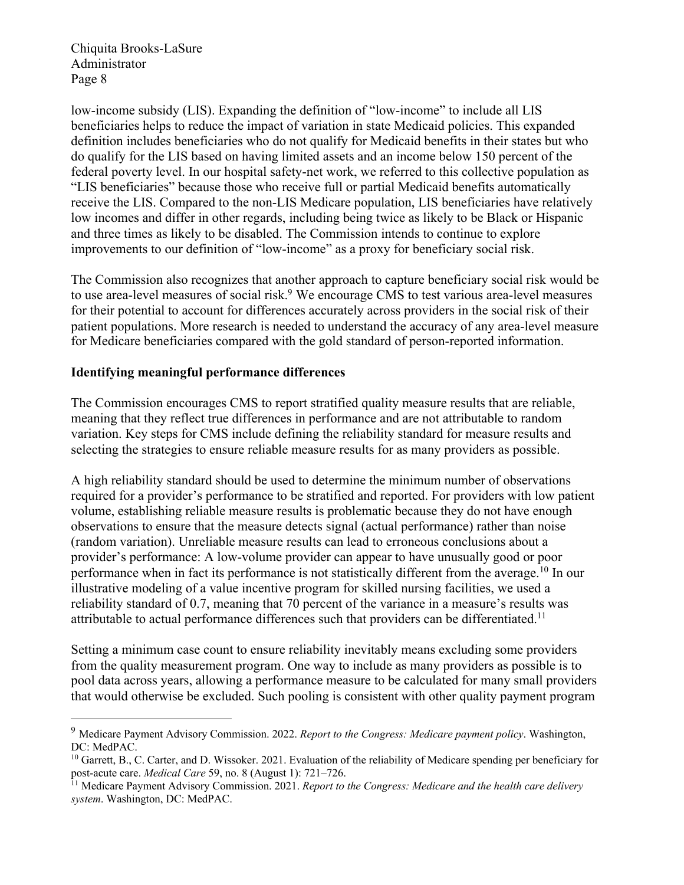low-income subsidy (LIS). Expanding the definition of "low-income" to include all LIS beneficiaries helps to reduce the impact of variation in state Medicaid policies. This expanded definition includes beneficiaries who do not qualify for Medicaid benefits in their states but who do qualify for the LIS based on having limited assets and an income below 150 percent of the federal poverty level. In our hospital safety-net work, we referred to this collective population as "LIS beneficiaries" because those who receive full or partial Medicaid benefits automatically receive the LIS. Compared to the non-LIS Medicare population, LIS beneficiaries have relatively low incomes and differ in other regards, including being twice as likely to be Black or Hispanic and three times as likely to be disabled. The Commission intends to continue to explore improvements to our definition of "low-income" as a proxy for beneficiary social risk.

The Commission also recognizes that another approach to capture beneficiary social risk would be to use area-level measures of social risk.<sup>9</sup> We encourage CMS to test various area-level measures for their potential to account for differences accurately across providers in the social risk of their patient populations. More research is needed to understand the accuracy of any area-level measure for Medicare beneficiaries compared with the gold standard of person-reported information.

#### **Identifying meaningful performance differences**

The Commission encourages CMS to report stratified quality measure results that are reliable, meaning that they reflect true differences in performance and are not attributable to random variation. Key steps for CMS include defining the reliability standard for measure results and selecting the strategies to ensure reliable measure results for as many providers as possible.

A high reliability standard should be used to determine the minimum number of observations required for a provider's performance to be stratified and reported. For providers with low patient volume, establishing reliable measure results is problematic because they do not have enough observations to ensure that the measure detects signal (actual performance) rather than noise (random variation). Unreliable measure results can lead to erroneous conclusions about a provider's performance: A low-volume provider can appear to have unusually good or poor performance when in fact its performance is not statistically different from the average.10 In our illustrative modeling of a value incentive program for skilled nursing facilities, we used a reliability standard of 0.7, meaning that 70 percent of the variance in a measure's results was attributable to actual performance differences such that providers can be differentiated.<sup>11</sup>

Setting a minimum case count to ensure reliability inevitably means excluding some providers from the quality measurement program. One way to include as many providers as possible is to pool data across years, allowing a performance measure to be calculated for many small providers that would otherwise be excluded. Such pooling is consistent with other quality payment program

<sup>9</sup> Medicare Payment Advisory Commission. 2022. *Report to the Congress: Medicare payment policy*. Washington, DC: MedPAC.

 $10$  Garrett, B., C. Carter, and D. Wissoker. 2021. Evaluation of the reliability of Medicare spending per beneficiary for post-acute care. *Medical Care* 59, no. 8 (August 1): 721–726.

<sup>11</sup> Medicare Payment Advisory Commission. 2021. *Report to the Congress: Medicare and the health care delivery system*. Washington, DC: MedPAC.